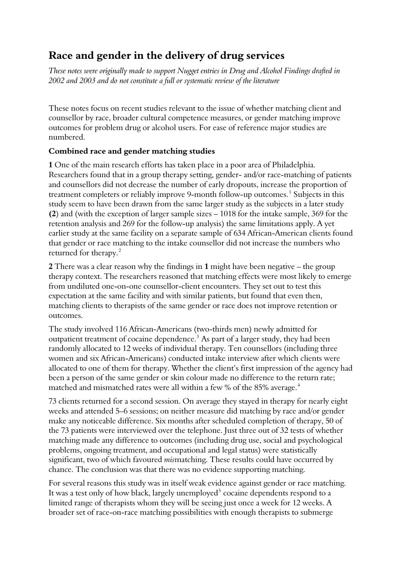# **Race and gender in the delivery of drug services**

*These notes were originally made to support Nugget entries in Drug and Alcohol Findings drafted in 2002 and 2003 and do not constitute a full or systematic review of the literature* 

These notes focus on recent studies relevant to the issue of whether matching client and counsellor by race, broader cultural competence measures, or gender matching improve outcomes for problem drug or alcohol users. For ease of reference major studies are numbered.

#### **Combined race and gender matching studies**

**1** One of the main research efforts has taken place in a poor area of Philadelphia. Researchers found that in a group therapy setting, gender- and/or race-matching of patients and counsellors did not decrease the number of early dropouts, increase the proportion of treatment completers or reliably improve 9-month follow-up outcomes.<sup>[1](#page-9-0)</sup> Subjects in this study seem to have been drawn from the same larger study as the subjects in a later study **(2**) and (with the exception of larger sample sizes – 1018 for the intake sample, 369 for the retention analysis and 269 for the follow-up analysis) the same limitations apply. A yet earlier study at the same facility on a separate sample of 634 African-American clients found that gender or race matching to the intake counsellor did not increase the numbers who returned for therapy.<sup>[2](#page-9-1)</sup>

**2** There was a clear reason why the findings in **1** might have been negative – the group therapy context. The researchers reasoned that matching effects were most likely to emerge from undiluted one-on-one counsellor-client encounters. They set out to test this expectation at the same facility and with similar patients, but found that even then, matching clients to therapists of the same gender or race does not improve retention or outcomes.

The study involved 116 African-Americans (two-thirds men) newly admitted for outpatient treatment of cocaine dependence. $3$  As part of a larger study, they had been randomly allocated to 12 weeks of individual therapy. Ten counsellors (including three women and six African-Americans) conducted intake interview after which clients were allocated to one of them for therapy. Whether the client's first impression of the agency had been a person of the same gender or skin colour made no difference to the return rate; matched and mismatched rates were all within a few % of the 85% average.<sup>[4](#page-9-1)</sup>

73 clients returned for a second session. On average they stayed in therapy for nearly eight weeks and attended 5–6 sessions; on neither measure did matching by race and/or gender make any noticeable difference. Six months after scheduled completion of therapy, 50 of the 73 patients were interviewed over the telephone. Just three out of 32 tests of whether matching made any difference to outcomes (including drug use, social and psychological problems, ongoing treatment, and occupational and legal status) were statistically significant, two of which favoured *mis*matching. These results could have occurred by chance. The conclusion was that there was no evidence supporting matching.

For several reasons this study was in itself weak evidence against gender or race matching. It was a test only of how black, largely unemployed<sup>[5](#page-9-1)</sup> cocaine dependents respond to a limited range of therapists whom they will be seeing just once a week for 12 weeks. A broader set of race-on-race matching possibilities with enough therapists to submerge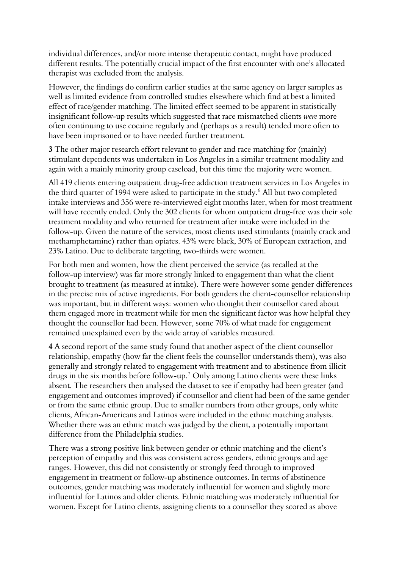individual differences, and/or more intense therapeutic contact, might have produced different results. The potentially crucial impact of the first encounter with one's allocated therapist was excluded from the analysis.

However, the findings do confirm earlier studies at the same agency on larger samples as well as limited evidence from controlled studies elsewhere which find at best a limited effect of race/gender matching. The limited effect seemed to be apparent in statistically insignificant follow-up results which suggested that race mismatched clients *were* more often continuing to use cocaine regularly and (perhaps as a result) tended more often to have been imprisoned or to have needed further treatment.

**3** The other major research effort relevant to gender and race matching for (mainly) stimulant dependents was undertaken in Los Angeles in a similar treatment modality and again with a mainly minority group caseload, but this time the majority were women.

All 419 clients entering outpatient drug-free addiction treatment services in Los Angeles in the third quarter of 1994 were asked to participate in the study.<sup>[6](#page-9-1)</sup> All but two completed intake interviews and 356 were re-interviewed eight months later, when for most treatment will have recently ended. Only the 302 clients for whom outpatient drug-free was their sole treatment modality and who returned for treatment after intake were included in the follow-up. Given the nature of the services, most clients used stimulants (mainly crack and methamphetamine) rather than opiates. 43% were black, 30% of European extraction, and 23% Latino. Due to deliberate targeting, two-thirds were women.

For both men and women, how the client perceived the service (as recalled at the follow-up interview) was far more strongly linked to engagement than what the client brought to treatment (as measured at intake). There were however some gender differen ces in the precise mix of active ingredients. For both genders the client-counsellor relationship was important, but in different ways: women who thought their counsellor cared about them engaged more in treatment while for men the significant factor was how helpful they thought the counsellor had been. However, some 70% of what made for engagement remained unexplained even by the wide array of variables measured.

**4** A second report of the same study found that another aspect of the client counsellor relationship, empathy (how far the client feels the counsellor understands them), was also generally and strongly related to engagement with treatment and to abstinence from illicit drugs in the six months before follow-up.<sup>[7](#page-10-0)</sup> Only among Latino clients were these links absent. The researchers then analysed the dataset to see if empathy had been greater (and engagement and outcomes improved) if counsellor and client had been of the same gender or from the same ethnic group. Due to smaller numbers from other groups, only white clients, African-Americans and Latinos were included in the ethnic matching analysis. Whether there was an ethnic match was judged by the client, a potentially important difference from the Philadelphia studies.

There was a strong positive link between gender or ethnic matching and the client's perception of empathy and this was consistent across genders, ethnic groups and age ranges. However, this did not consistently or strongly feed through to improved engagement in treatment or follow-up abstinence outcomes. In terms of abstinence outcomes, gender matching was moderately influential for women and slightly more influential for Latinos and older clients. Ethnic matching was moderately influential for women. Except for Latino clients, assigning clients to a counsellor they scored as above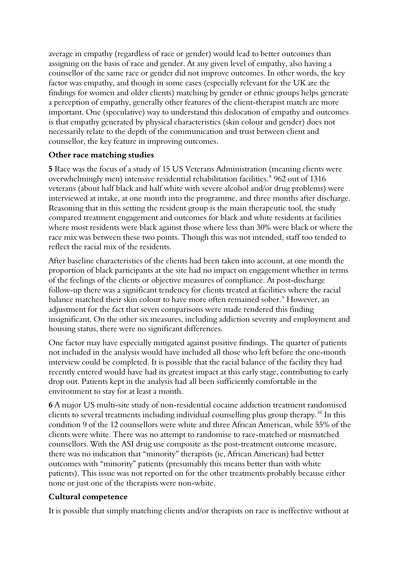average in empathy (regardless of race or gender) would lead to better outcomes than assigning on the basis of race and gender. At any given level of empathy, also having a counsellor of the same race or gender did not improve outcomes. In other words, the key factor was empathy, and though in some cases (especially relevant for the UK are the findings for women and older clients) matching by gender or ethnic groups helps generate a perception of empathy, generally other features of the client-therapist match are more important. One (speculative) way to understand this dislocation of empathy and outcomes is that empathy generated by physical characteristics (skin colour and gender) does not necessarily relate to the depth of the communication and trust between client and counsellor, the key feature in improving outcomes.

#### **Other race matching studies**

**5** Race was the focus of a study of 15 US Veterans Administration (meaning clients were overwhelmingly men) intensive residential rehabilitation facilities.<sup>[8](#page-10-0)</sup> 962 out of 1316 veterans (about half black and half white with severe alcohol and/or drug problems) were interviewed at intake, at one month into the programme, and three months after discharge. Reasoning that in this setting the resident group is the main therapeutic tool, the study compared treatment engagement and outcomes for black and white residents at facilities where most residents were black against those where less than 30% were black or where the race mix was between these two points. Though this was not intended, staff too tended to reflect the racial mix of the residents.

After baseline characteristics of the clients had been taken into account, at one month the proportion of black participants at the site had no impact on engagement whether in terms of the feelings of the clients or objective measures of compliance. At post-discharge follow-up there was a significant tendency for clients treated at facilities where the racial balance matched their skin colour to have more often remained sober.<sup>[9](#page-10-0)</sup> However, an adjustment for the fact that seven comparisons were made rendered this finding insignificant. On the other six measures, including addiction severity and employment and housing status, there were no significant differences.

One factor may have especially mitigated against positive findings. The quarter of patients not included in the analysis would have included all those who left before the one-month interview could be completed. It is possible that the racial balance of the facility they had recently entered would have had its greatest impact at this early stage, contributing to early drop out. Patients kept in the analysis had all been sufficiently comfortable in the environment to stay for at least a month.

**6** A major US multi-site study of non-residential cocaine addiction treatment randomised clients to several treatments including individual counselling plus group therapy.<sup>[10](#page-10-0)</sup> In this condition 9 of the 12 counsellors were white and three African American, while 55% of the clients were white. There was no attempt to randomise to race-matched or mismatched counsellors. With the ASI drug use composite as the post-treatment outcome measure, there was no indication that "minority" therapists (ie, African American) had better outcomes with "minority" patients (presumably this means better than with white patients). This issue was not reported on for the other treatments probably because either none or just one of the therapists were non-white.

## **Cultural competence**

It is possible that simply matching clients and/or therapists on race is ineffective without at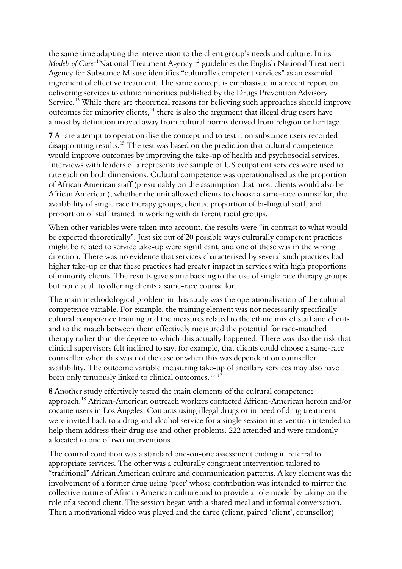the same time adapting the intervention to the client group's needs and culture. In its *Models of Care*<sup>[11](#page-10-0)</sup>National Treatment Agency<sup>[12](#page-10-0)</sup> guidelines the English National Treatment Agency for Substance Misuse identifies "culturally competent services" as an essential ingredient of effective treatment. The same concept is emphasised in a recent report on delivering services to ethnic minorities published by the Drugs Prevention Advisory Service.<sup>[13](#page-10-0)</sup> While there are theoretical reasons for believing such approaches should improve outcomes for minority clients,<sup>[14](#page-10-0)</sup> there is also the argument that illegal drug users have almost by definition moved away from cultural norms derived from religion or heritage.

**7** A rare attempt to operationalise the concept and to test it on substance users recorded disappointing results.<sup>[15](#page-10-0)</sup> The test was based on the prediction that cultural competence would improve outcomes by improving the take-up of health and psychosocial services. Interviews with leaders of a representative sample of US outpatient services were used to rate each on both dimensions. Cultural competence was operationalised as the proportion of African American staff (presumably on the assumption that most clients would also be African American), whether the unit allowed clients to choose a same-race counsellor, the availability of single race therapy groups, clients, proportion of bi-lingual staff, and proportion of staff trained in working with different racial groups.

When other variables were taken into account, the results were "in contrast to what would be expected theoretically". Just six out of 20 possible ways culturally competent practices might be related to service take-up were significant, and one of these was in the wrong direction. There was no evidence that services characterised by several such practices had higher take-up or that these practices had greater impact in services with high proportions of minority clients. The results gave some backing to the use of single race therapy groups but none at all to offering clients a same-race counsellor.

The main methodological problem in this study was the operationalisation of the cultural competence variable. For example, the training element was not necessarily specifically cultural competence training and the measures related to the ethnic mix of staff and clients and to the match between them effectively measured the potential for race-matched therapy rather than the degree to which this actually happened. There was also the risk that clinical supervisors felt inclined to say, for example, that clients could choose a same-race counsellor when this was not the case or when this was dependent on counsellor availability. The outcome variable measuring take-up of ancillary services may also have been only tenuously linked to clinical outcomes.<sup>[16](#page-10-0) [17](#page-10-0)</sup>

**8** Another study effectively tested the main elements of the cultural competence approach.<sup>[18](#page-10-0)</sup> African-American outreach workers contacted African-American heroin and/or cocaine users in Los Angeles. Contacts using illegal drugs or in need of drug treatment were invited back to a drug and alcohol service for a single session intervention intended t o help them address their drug use and other problems. 222 attended and were randomly allocated to one of two interventions.

The control condition was a standard one-on-one assessment ending in referral to appropriate services. The other was a culturally congruent intervention tailored to "traditional" African American culture and communication patterns. A key element was the involvement of a former drug using 'peer' whose contribution was intended to mirror the collective nature of African American culture and to provide a role model by taking on the role of a second client. The session began with a shared meal and informal conversation. Then a motivational video was played and the three (client, paired 'client', counsellor)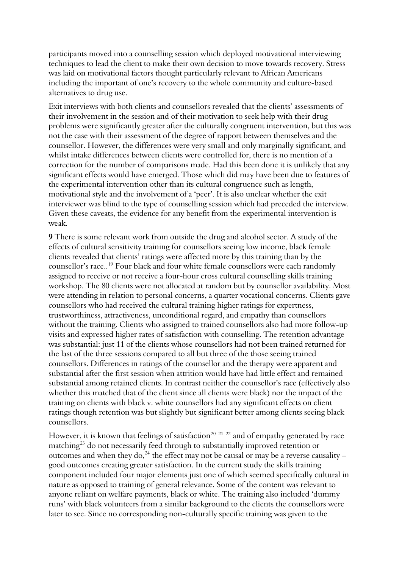participants moved into a counselling session which deployed motivational interviewing techniques to lead the client to make their own decision to move towards recovery. Stress was laid on motivational factors thought particularly relevant to African Americans including the important of one's recovery to the whole community and culture-based alternatives to drug use.

Exit interviews with both clients and counsellors revealed that the clients' assessments of their involvement in the session and of their motivation to seek help with their drug problems were significantly greater after the culturally congruent intervention, but this was not the case with their assessment of the degree of rapport between themselves and the counsellor. However, the differences were very small and only marginally significant, and whilst intake differences between clients were controlled for, there is no mention of a correction for the number of comparisons made. Had this been done it is unlikely that any significant effects would have emerged. Those which did may have been due to features of the experimental intervention other than its cultural congruence such as length, motivational style and the involvement of a 'peer'. It is also unclear whether the exit interviewer was blind to the type of counselling session which had preceded the interview. Given these caveats, the evidence for any benefit from the experimental intervention is weak.

**9** There is some relevant work from outside the drug and alcohol sector. A study of the effects of cultural sensitivity training for counsellors seeing low income, black female clients revealed that clients' ratings were affected more by this training than by the counsellor's race..[19](#page-10-0) Four black and four white female counsellors were each randomly assigned to receive or not receive a four-hour cross cultural counselling skills training workshop. The 80 clients were not allocated at random but by counsellor availability. Most were attending in relation to personal concerns, a quarter vocational concerns. Clients gave counsellors who had received the cultural training higher ratings for expertness, trustworthiness, attractiveness, unconditional regard, and empathy than counsellors without the training. Clients who assigned to trained counsellors also had more follow-up visits and expressed higher rates of satisfaction with counselling. The retention advantage was substantial: just 11 of the clients whose counsellors had not been trained returned for the last of the three sessions compared to all but three of the those seeing trained counsellors. Differences in ratings of the counsellor and the therapy were apparent and substantial after the first session when attrition would have had little effect and remained substantial among retained clients. In contrast neither the counsellor's race (effectively also whether this matched that of the client since all clients were black) nor the impact of the training on clients with black v. white counsellors had any significant effects on client ratings though retention was but slightly but significant better among clients seeing black counsellors.

However, it is known that feelings of satisfaction<sup>[20](#page-10-0) [21](#page-10-0)</sup> <sup>[22](#page-10-0)</sup> and of empathy generated by race matching<sup>[23](#page-10-0)</sup> do not necessarily feed through to substantially improved retention or outcomes and when they do,  $^{24}$  $^{24}$  $^{24}$  the effect may not be causal or may be a reverse causality – good outcomes creating greater satisfaction. In the current study the skills training component included four major elements just one of which seemed specifically cultural in nature as opposed to training of general relevance. Some of the content was relevant to anyone reliant on welfare payments, black or white. The training also included 'dummy runs' with black volunteers from a similar background to the clients the counsellors were later to see. Since no corresponding non-culturally specific training was given to the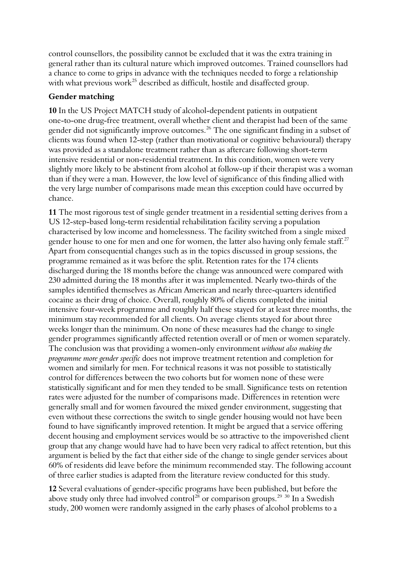control counsellors, the possibility cannot be excluded that it was the extra training in general rather than its cultural nature which improved outcomes. Trained counsellors had a chance to come to grips in advance with the techniques needed to forge a relationship with what previous work<sup>[25](#page-10-0)</sup> described as difficult, hostile and disaffected group.

#### **Gender matching**

**10** In the US Project MATCH study of alcohol-dependent patients in outpatient one-to-one drug-free treatment, overall whether client and therapist had been of the same gender did not significantly improve outcomes.<sup>[26](#page-10-0)</sup> The one significant finding in a subset of clients was found when 12-step (rather than motivational or cognitive behavioural) therap y was provided as a standalone treatment rather than as aftercare following short-term intensive residential or non-residential treatment. In this condition, women were very slightly more likely to be abstinent from alcohol at follow-up if their therapist was a woman than if they were a man. However, the low level of significance of this finding allied with the very large number of comparisons made mean this exception could have occurre d by chance.

11 The most rigorous test of single gender treatment in a residential setting derives from a gender house to one for men and one for women, the latter also having only female staff.<sup>27</sup> Apart from consequential changes such as in the topics discussed in group sessions, the samples identified themselves as African American and nearly three-quarters identified intensive four-week programme and roughly half these stayed for at least three months, the gender programmes significantly affected retention overall or of men or women separately. women and similarly for men. For technical reasons it was not possible to statistically US 12-step-based long-term residential rehabilitation facility serving a population characterised by low income and homelessness. The facility switched from a single mixed programme remained as it was before the split. Retention rates for the 174 clients discharged during the 18 months before the change was announced were compared with 230 admitted during the 18 months after it was implemented. Nearly two-thirds of the cocaine as their drug of choice. Overall, roughly 80% of clients completed the initial minimum stay recommended for all clients. On average clients stayed for about three weeks longer than the minimum. On none of these measures had the change to single The conclusion was that providing a women-only environment *without also making the programme more gender specific* does not improve treatment retention and completion for control for differences between the two cohorts but for women none of these were statistically significant and for men they tended to be small. Significance tests on retention rates were adjusted for the number of comparisons made. Differences in retention were generally small and for women favoured the mixed gender environment, suggesting that even without these corrections the switch to single gender housing would not have been found to have significantly improved retention. It might be argued that a service offering decent housing and employment services would be so attractive to the impoverished client group that any change would have had to have been very radical to affect retention, but this argument is belied by the fact that either side of the change to single gender services about 60% of residents did leave before the minimum recommended stay. The following account of three earlier studies is adapted from the literature review conducted for this study.

**12** Several evaluations of gender-specific programs have been published, but before the above study only three had involved control<sup>[28](#page-10-0)</sup> or comparison groups.<sup>[29](#page-10-0)</sup> <sup>[30](#page-10-0)</sup> In a Swedish study, 200 women were randomly assigned in the early phases of alcohol problems to a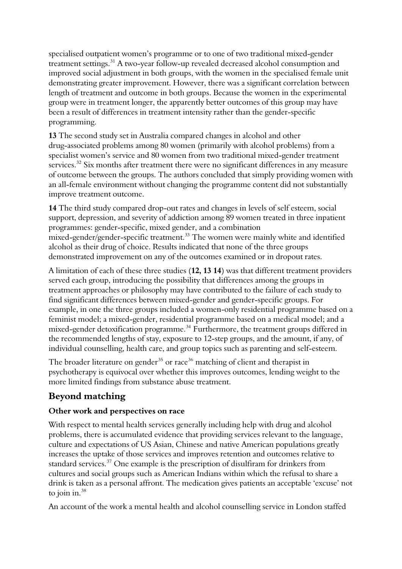specialised outpatient women's programme or to one of two traditional mixed-gender treatment settings.<sup>[31](#page-10-0)</sup> A two-year follow-up revealed decreased alcohol consumption and improved social adjustment in both groups, with the women in the specialised female unit demonstrating greater improvement. However, there was a significant correlation between length of treatment and outcome in both groups. Because the women in the experiment al group were in treatment longer, the apparently better outcomes of this group may have been a result of differences in treatment intensity rather than the gender-specific programming.

services. $32$  Six months after treatment there were no significant differences in any measure of outcome between the groups. The authors concluded that simply providing women with an all-female environment without changing the programme content did not substantially **13** The second study set in Australia compared changes in alcohol and other drug-associated problems among 80 women (primarily with alcohol problems) from a specialist women's service and 80 women from two traditional mixed-gender treatment improve treatment outcome.

support, depression, and severity of addiction among 89 women treated in three inpatient alcohol as their drug of choice. Results indicated that none of the three groups **14** The third study compared drop-out rates and changes in levels of self esteem, social programmes: gender-specific, mixed gender, and a combination mixed-gender/gender-specific treatment.<sup>[33](#page-11-0)</sup> The women were mainly white and identified demonstrated improvement on any of the outcomes examined or in dropout rates.

A limitation of each of these three studies (12, 13 14) was that different treatment providers treatment approaches or philosophy may have contributed to the failure of each study to example, in one the three groups included a women-only residential programme based on a individual counselling, health care, and group topics such as parenting and self-esteem. served each group, introducing the possibility that differences among the groups in find significant differences between mixed-gender and gender-specific groups. For feminist model; a mixed-gender, residential programme based on a medical model; and a mixed-gender detoxification programme.<sup>[34](#page-11-0)</sup> Furthermore, the treatment groups differed in the recommended lengths of stay, exposure to 12-step groups, and the amount, if any, of

psychotherapy is equivocal over whether this improves outcomes, lending weight to the more limited findings from substance abuse treatment. The broader literature on gender<sup>[35](#page-11-0)</sup> or race<sup>[36](#page-11-0)</sup> matching of client and therapist in

## **Beyond matching**

## **Other work and perspectives on race**

drink is taken as a personal affront. The medication gives patients an acceptable 'excuse' not With respect to mental health services generally including help with drug and alcohol problems, there is accumulated evidence that providing services relevant to the language, culture and expectations of US Asian, Chinese and native American populations greatly increases the uptake of those services and improves retention and outcomes relative to standard services.<sup>[37](#page-11-0)</sup> One example is the prescription of disulfiram for drinkers from cultures and social groups such as American Indians within which the refusal to share a to join in. $38$ 

An account of the work a mental health and alcohol counselling service in London staffed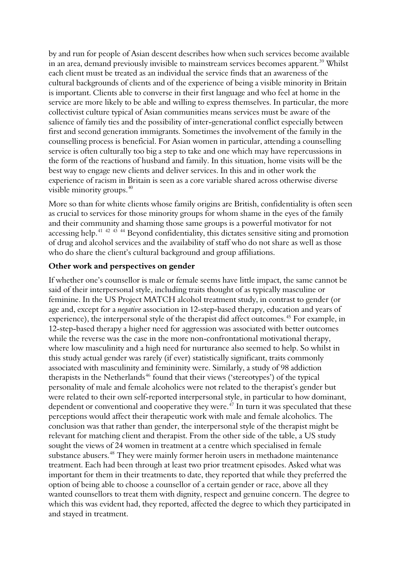by and run for people of Asian descent describes how when such services become available in an area, demand previously invisible to mainstream services becomes apparent.<sup>[39](#page-11-0)</sup> Whilst each client must be treated as an individual the service finds that an awareness of the cultural backgrounds of clients and of the experience of being a visible minority in Britain is important. Clients able to converse in their first language and who feel at home in the service are more likely to be able and willing to express themselves. In particular, the m ore collectivist culture typical of Asian communities means services must be aware of the salience of family ties and the possibility of inter-generational conflict especially between first and second generation immigrants. Sometimes the involvement of the family in the counselling process is beneficial. For Asian women in particular, attending a counselling service is often culturally too big a step to take and one which may have repercussions in the form of the reactions of husband and family. In this situation, home visits will be the best way to engage new clients and deliver services. In this and in other work the experience of racism in Britain is seen as a core variable shared across otherwise diverse visible minority groups.<sup>[40](#page-11-0)</sup>

[More so than for white clients whose family origins are British, confidentiality is often see](#page-11-0)n [as crucial to services for those minority groups for whom shame in the eyes of the fam](#page-11-0)ily [of drug and alcohol services and the availability of staff who do not sh](#page-11-0)are as well as those who do share the client's cultural background and group affiliations. [and their community and shaming those same groups is a powerful motivator for not](#page-11-0)  [accessing help.](#page-11-0)<sup>41 42 43</sup> <sup>44</sup> Beyond confidentiality, this dictates sensitive siting and promotion

#### **Other work and perspectives on gender**

If whether one's counsellor is male or female seems have little impact, the same cannot be 12-step-based therapy a higher need for aggression was associated with better outcomes where low masculinity and a high need for nurturance also seemed to help. So whilst in dependent or conventional and cooperative they were. $^{47}$  $^{47}$  $^{47}$  In turn it was speculated that these relevant for matching client and therapist. From the other side of the table, a US study important for them in their treatments to date, they reported that while they preferred the which this was evident had, they reported, affected the degree to which they participated in and stayed in treatment. said of their interpersonal style, including traits thought of as typically masculine or feminine. In the US Project MATCH alcohol treatment study, in contrast to gender (or age and, except for a *negative* association in 12-step-based therapy, education and years of experience), the interpersonal style of the therapist did affect outcomes.<sup>[45](#page-11-0)</sup> For example, in while the reverse was the case in the more non-confrontational motivational therapy, this study actual gender was rarely (if ever) statistically significant, traits commonly associated with masculinity and femininity were. Similarly, a study of 98 addiction therapists in the Netherlands<sup> $46$ </sup> found that their views ('stereotypes') of the typical personality of male and female alcoholics were not related to the therapist's gender but were related to their own self-reported interpersonal style, in particular to how dominant, perceptions would affect their therapeutic work with male and female alcoholics. The conclusion was that rather than gender, the interpersonal style of the therapist might be sought the views of 24 women in treatment at a centre which specialised in female substance abusers.<sup>[48](#page-11-0)</sup> They were mainly former heroin users in methadone maintenance treatment. Each had been through at least two prior treatment episodes. Asked what was option of being able to choose a counsellor of a certain gender or race, above all they wanted counsellors to treat them with dignity, respect and genuine concern. The degree to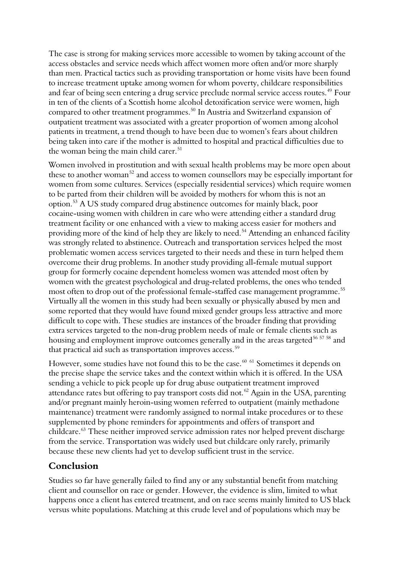The case is strong for making services more accessible to women by taking account of the access obstacles and service needs which affect women more often and/or more sharply than men. Practical tactics such as providing transportation or home visits have been found to increase treatment uptake among women for whom poverty, childcare responsibilities and fear of being seen entering a drug service preclude normal service access routes.<sup>[49](#page-11-0)</sup> Four in ten of the clients of a Scottish home alcohol detoxification service were women, high compared to other treatment programmes.<sup>[50](#page-11-0)</sup> In Austria and Switzerland expansion of outpatient treatment was associated with a greater proportion of women among alcohol patients in treatment, a trend though to have been due to women's fears about children being taken into care if the mother is admitted to hospital and practical difficulties due to the woman being the main child carer. $51$ 

Women involved in prostitution and with sexual health problems may be more open about these to another woman<sup>[52](#page-11-0)</sup> and access to women counsellors may be especially important for women from some cultures. Services (especially residential services) which require women to be parted from their children will be avoided by mothers for whom this is not an option.[53](#page-11-0) A US study compared drug abstinence outcomes for mainly black, poor cocaine-using women with children in care who were attending either a standard drug treatment facility or one enhanced with a view to making access easier for mothers and providing more of the kind of help they are likely to need.<sup>[54](#page-11-0)</sup> Attending an enhanced facility was strongly related to abstinence. Outreach and transportation services helped the m ost problematic women access services targeted to their needs and these in turn helped them overcome their drug problems. In another study providing all-female mutual support group for formerly cocaine dependent homeless women was attended most often by women with the greatest psychological and drug-related problems, the ones who tended most often to drop out of the professional female-staffed case management programme. [55](#page-11-0) Virtually all the women in this study had been sexually or physically abused by men and some reported that they would have found mixed gender groups less attractive and more difficult to cope with. These studies are instances of the broader finding that providing extra services targeted to the non-drug problem needs of male or female clients such as housing and employment improve outcomes generally and in the areas targeted<sup>[56](#page-12-0) [57](#page-12-0)</sup> <sup>[58](#page-12-0)</sup> and that practical aid such as transportation improves access.<sup>[59](#page-12-0)</sup>

the precise shape the service takes and the context within which it is offered. In the USA However, some studies have not found this to be the case.<sup>[60](#page-12-0) [61](#page-12-0)</sup> Sometimes it depends on sending a vehicle to pick people up for drug abuse outpatient treatment improved attendance rates but offering to pay transport costs did not.<sup>[62](#page-12-0)</sup> Again in the USA, parenting and/or pregnant mainly heroin-using women referred to outpatient (mainly methadone maintenance) treatment were randomly assigned to normal intake procedures or to these supplemented by phone reminders for appointments and offers of transport and childcare.<sup>[63](#page-12-0)</sup> These neither improved service admission rates nor helped prevent discharge from the service. Transportation was widely used but childcare only rarely, primarily because these new clients had yet to develop sufficient trust in the service.

## **Conclusion**

Studies so far have generally failed to find any or any substantial benefit from matching client and counsellor on race or gender. However, the evidence is slim, limited to what happens once a client has entered treatment, and on race seems mainly limited to US black versus white populations. Matching at this crude level and of populations which may be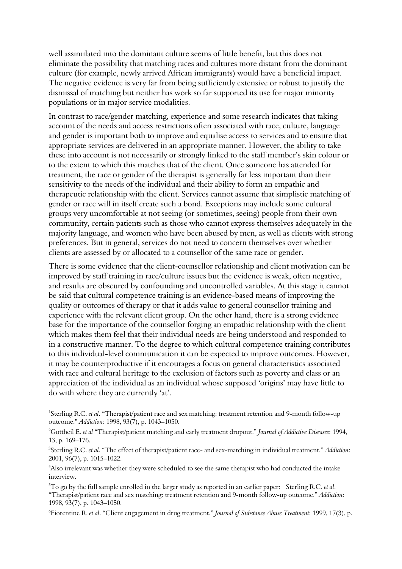<span id="page-9-1"></span>well assimilated into the dominant culture seems of little benefit, but this does not eliminate the possibility that matching races and cultures more distant from the dominant culture (for example, newly arrived African immigrants) would have a beneficial impact. The negative evidence is very far from being sufficiently extensive or robust to justify the dismissal of matching but neither has work so far supported its use for major minority populations or in major service modalities.

In contrast to race/gender matching, experience and some research indicates that taking account of the needs and access restrictions often associated with race, culture, language and gender is important both to improve and equalise access to services and to ensure that appropriate services are delivered in an appropriate manner. However, the ability to take these into account is not necessarily or strongly linked to the staff member's skin colour or to the extent to which this matches that of the client. Once someone has attended for treatment, the race or gender of the therapist is generally far less important than their sensitivity to the needs of the individual and their ability to form an empathic and therapeutic relationship with the client. Services cannot assume that simplistic matching of gender or race will in itself create such a bond. Exceptions may include some cultural groups very uncomfortable at not seeing (or sometimes, seeing) people from their own community, certain patients such as those who cannot express themselves adequately in the majority language, and women who have been abused by men, as well as clients with strong preferences. But in general, services do not need to concern themselves over whether clients are assessed by or allocated to a counsellor of the same race or gender.

There is some evidence that the client-counsellor relationship and client motivation can be improved by staff training in race/culture issues but the evidence is weak, often negative, and results are obscured by confounding and uncontrolled variables. At this stage it cannot be said that cultural competence training is an evidence-based means of improving the quality or outcomes of therapy or that it adds value to general counsellor training and experience with the relevant client group. On the other hand, there is a strong evidence base for the importance of the counsellor forging an empathic relationship with the client which makes them feel that their individual needs are being understood and responded to in a constructive manner. To the degree to which cultural competence training contributes to this individual-level communication it can be expected to improve outcomes. However, it may be counterproductive if it encourages a focus on general characteristics associated with race and cultural heritage to the exclusion of factors such as poverty and class or an appreciation of the individual as an individual whose supposed 'origins' may have little to do with where they are currently 'at'.

-

6 Fiorentine R. *et al*. "Client engagement in drug treatment." *Journal of Substance Abuse Treatment*: 1999, 17(3), p.

<span id="page-9-0"></span><sup>1</sup> Sterling R.C. *et al*. "Therapist/patient race and sex matching: treatment retention and 9-month follow-up outcome." *Addiction*: 1998, 93(7), p. 1043–1050.

<sup>2</sup> Gottheil E. *et al* "Therapist/patient matching and early treatment dropout." *Journal of Addictive Diseases*: 1994, 13, p. 169–176.

<sup>3</sup> Sterling R.C. *et al*. "The effect of therapist/patient race- and sex-matching in individual treatment." *Addiction*: 2001, 96(7), p. 1015–1022.

<sup>4</sup> Also irrelevant was whether they were scheduled to see the same therapist who had conducted the intake interview.

<sup>5</sup> To go by the full sample enrolled in the larger study as reported in an earlier paper: Sterling R.C. *et al*. "Therapist/patient race and sex matching: treatment retention and 9-month follow-up outcome." *Addiction*: 1998, 93(7), p. 1043–1050.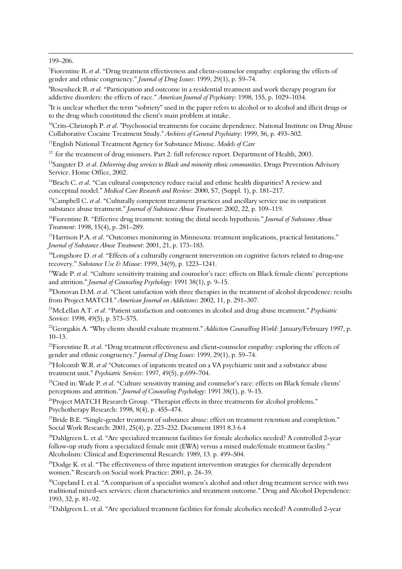199–206.

<span id="page-10-0"></span>-

7 Fiorentine R. *et al*. "Drug treatment effectiveness and client-counselor empathy: exploring the effects of gender and ethnic congruency." *Journal of Drug Issues*: 1999, 29(1), p. 59–74.

8 Rosenheck R. *et al.* "Participation and outcome in a residential treatment and work therapy program for addictive disorders: the effects of race." *American Journal of Psychiatry*: 1998, 155, p. 1029–1034.

9 It is unclear whether the term "sobriety" used in the paper refers to alcohol or to alcohol and illicit drugs or to the drug which constituted the client's main problem at intake.

<sup>10</sup>Crits-Christoph P. *et al.* "Psychosocial treatments for cocaine dependence. National Institute on Drug Abuse Collaborative Cocaine Treatment Study." *Archives of General Psychiatry*: 1999, 56, p. 493–502.

11English National Treatment Agency for Substance Misuse. *Models of Care*

<sup>12</sup> for the treatment of drug misusers. Part 2: full reference report. Department of Health, 2003.

<sup>13</sup>Sangster D. *et al. Delivering drug services to Black and minority ethnic communities*. Drugs Prevention Advisory Service. Home Office, 2002.

14Brach C. *et al*. "Can cultural competency reduce racial and ethnic health disparities? A review and conceptual model." *Medical Care Research and Review*: 2000, S7, (Suppl. 1), p. 181–217.

15Campbell C. *et al*. "Culturally competent treatment practices and ancillary service use in outpatient substance abuse treatment." *Journal of Substance Abuse Treatment*: 2002, 22, p. 109–119.

16Fiorentine R. "Effective drug treatment: testing the distal needs hypothesis." *Journal of Substance Abuse Treatment*: 1998, 15(4), p. 281–289.

17Harrison P.A. *et al*. "Outcomes monitoring in Minnesota: treatment implications, practical limitations." *Journal of Substance Abuse Treatment*: 2001, 21, p. 173–183.

<sup>18</sup>Longshore D. *et al.* "Effects of a culturally congruent intervention on cognitive factors related to drug-use recovery." *Substance Use & Misuse*: 1999, 34(9), p. 1223–1241.

<sup>19</sup>Wade P. *et al.* "Culture sensitivity training and counselor's race: effects on Black female clients' perceptions and attrition." *Journal of Counseling Psychology*: 1991 38(1), p. 9–15.

<sup>20</sup>Donovan D.M. *et al*. "Client satisfaction with three therapies in the treatment of alcohol dependence: results from Project MATCH." *American Journal on Addictions*: 2002, 11, p. 291–307.

21McLellan A.T. *et al*. "Patient satisfaction and outcomes in alcohol and drug abuse treatment." *Psychiatric Services*: 1998, 49(5), p. 573–575.

<sup>22</sup>Georgakis A. "Why clients should evaluate treatment." *Addiction Counselling World*: January/February 1997, p. 10–13.

<sup>23</sup>Fiorentine R. *et al.* "Drug treatment effectiveness and client-counselor empathy: exploring the effects of gender and ethnic congruency." *Journal of Drug Issues*: 1999, 29(1), p. 59–74.

24Holcomb W.R. *et al* "Outcomes of inpatients treated on a VA psychiatric unit and a substance abuse treatment unit." *Psychiatric Services*: 1997, 49(5), p.699–704.

25Cited in: Wade P. *et al*. "Culture sensitivity training and counselor's race: effects on Black female clients' perceptions and attrition." *Journal of Counseling Psychology*: 1991 38(1), p. 9–15.

<sup>26</sup>Project MATCH Research Group. "Therapist effects in three treatments for alcohol problems." Psychotherapy Research: 1998, 8(4), p. 455–474.

 $^{27}$ Bride B.E. "Single-gender treatment of substance abuse: effect on treatment retention and completion." Social Work Research: 2001, 25(4), p. 223–232. Document 1891 8.3 6.4

28Dahlgreen L. et al. "Are specialized treatment facilities for female alcoholics needed? A controlled 2-year follow-up study from a specialized female unit (EWA) versus a mixed male/female treatment facility." Alcoholism: Clinical and Experimental Research: 1989, 13. p. 499–504.

 $^{29}$ Dodge K. et al. "The effectiveness of three inpatient intervention strategies for chemically dependent women." Research on Social work Practice: 2001, p. 24–39.

 $30$ Copeland I. et al. "A comparison of a specialist women's alcohol and other drug treatment service with two traditional mixed-sex services: client characteristics and treatment outcome." Drug and Alcohol Dependence: 1993, 32, p. 81–92.

<sup>31</sup>Dahlgreen L. et al. "Are specialized treatment facilities for female alcoholics needed? A controlled 2-year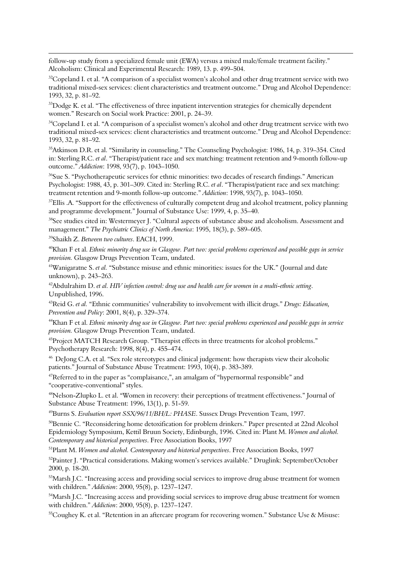<span id="page-11-0"></span>follow-up study from a specialized female unit (EWA) versus a mixed male/female treatment facility." Alcoholism: Clinical and Experimental Research: 1989, 13. p. 499–504.

<sup>32</sup>Copeland I. et al. "A comparison of a specialist women's alcohol and other drug treatment service with two traditional mixed-sex services: client characteristics and treatment outcome." Drug and Alcohol Dependence: 1993, 32, p. 81–92.

<sup>33</sup>Dodge K. et al. "The effectiveness of three inpatient intervention strategies for chemically dependent women." Research on Social work Practice: 2001, p. 24–39.

<sup>34</sup>Copeland I. et al. "A comparison of a specialist women's alcohol and other drug treatment service with two traditional mixed-sex services: client characteristics and treatment outcome." Drug and Alcohol Dependence: 1993, 32, p. 81–92.

35Atkinson D.R. et al. "Similarity in counseling." The Counseling Psychologist: 1986, 14, p. 319–354. Cited in: Sterling R.C. *et al*. "Therapist/patient race and sex matching: treatment retention and 9-month follow-up outcome." *Addiction*: 1998, 93(7), p. 1043–1050.

<sup>36</sup>Sue S. "Psychotherapeutic services for ethnic minorities: two decades of research findings." American Psychologist: 1988, 43, p. 301–309. Cited in: Sterling R.C. *et al*. "Therapist/patient race and sex matching: treatment retention and 9-month follow-up outcome." *Addiction*: 1998, 93(7), p. 1043–1050.

<sup>37</sup>Ellis .A. "Support for the effectiveness of culturally competent drug and alcohol treatment, policy planning and programme development." Journal of Substance Use: 1999, 4, p. 35–40.

<sup>38</sup>See studies cited in: Westermeyer J. "Cultural aspects of substance abuse and alcoholism. Assessment and management." *The Psychiatric Clinics of North America*: 1995, 18(3), p. 589–605.

39Shaikh Z. *Between two cultures*. EACH, 1999.

-

40Khan F et al. *Ethnic minority drug use in Glasgow. Part two: special problems experienced and possible gaps in service provision.* Glasgow Drugs Prevention Team, undated.

<sup>41</sup>Wanigaratne S. *et al.* "Substance misuse and ethnic minorities: issues for the UK." (Journal and date unknown), p. 243–263.

42Abdulrahim D. *et al. HIV infection control: drug use and health care for women in a multi-ethnic setting*. Unpublished, 1996.

43Reid G. *et al.* "Ethnic communities' vulnerability to involvement with illicit drugs." *Drugs: Education, Prevention and Policy*: 2001, 8(4), p. 329–374.

44Khan F et al. *Ethnic minority drug use in Glasgow. Part two: special problems experienced and possible gaps in service provision.* Glasgow Drugs Prevention Team, undated.

 $45P$ roject MATCH Research Group. "Therapist effects in three treatments for alcohol problems." Psychotherapy Research: 1998, 8(4), p. 455–474.

46 DeJong C.A. et al. "Sex role stereotypes and clinical judgement: how therapists view their alcoholic patients." Journal of Substance Abuse Treatment: 1993, 10(4), p. 383-389.

"cooperative-conventional" styles.  $47$ Referred to in the paper as "complaisance,", an amalgam of "hypernormal responsible" and

48Nelson-Zlupko L. et al. "Women in recovery: their perceptions of treatment effectiveness." Journal of Substance Abuse Treatment: 1996, 13(1), p. 51-59.

49Burns S. *Evaluation report SSX/96/11/BH/L: PHASE*. Sussex Drugs Prevention Team, 1997.

<sup>50</sup>Bennie C. "Reconsidering home detoxification for problem drinkers." Paper presented at 22nd Alcohol Epidemiology Symposium, Kettil Bruun Society, Edinburgh, 1996. Cited in: Plant M. *Women and alcohol. Contemporary and historical perspectives*. Free Association Books, 1997

51Plant M. *Women and alcohol. Contemporary and historical perspectives*. Free Association Books, 1997

<sup>52</sup>Painter J. "Practical considerations. Making women's services available." Druglink: September/October 2000, p. 18-20.

<sup>53</sup>Marsh J.C. "Increasing access and providing social services to improve drug abuse treatment for women with children." *Addiction*: 2000, 95(8), p. 1237–1247.

<sup>54</sup>Marsh J.C. "Increasing access and providing social services to improve drug abuse treatment for women with children." *Addiction*: 2000, 95(8), p. 1237–1247.

<sup>55</sup>Coughey K. et al. "Retention in an aftercare program for recovering women." Substance Use & Misuse: